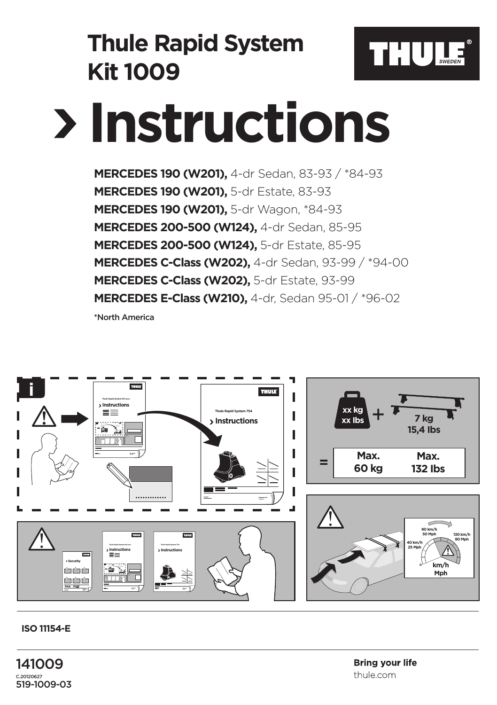

## **ISO 11154-E**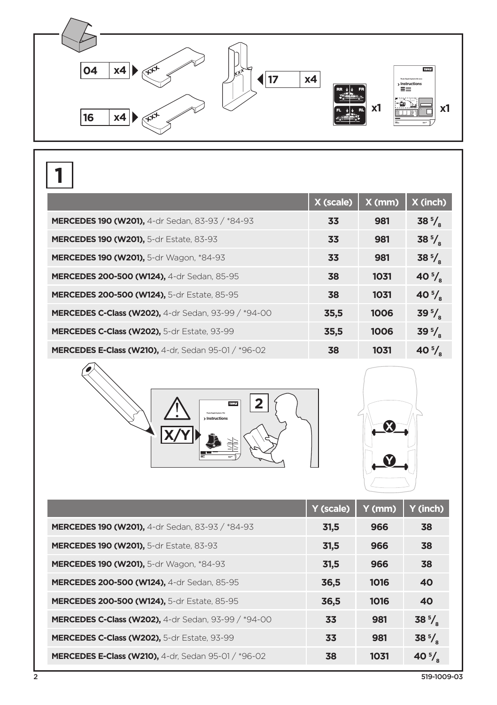

|                                                            | X (scale) | $X$ (mm) | X (inch)           |
|------------------------------------------------------------|-----------|----------|--------------------|
| MERCEDES 190 (W201), 4-dr Sedan, 83-93 / *84-93            | 33        | 981      | $38\frac{5}{6}$    |
| <b>MERCEDES 190 (W201), 5-dr Estate, 83-93</b>             | 33        | 981      | $38\frac{5}{6}$    |
| MERCEDES 190 (W201), 5-dr Wagon, *84-93                    | 33        | 981      | $38\frac{5}{6}$    |
| <b>MERCEDES 200-500 (W124), 4-dr Sedan, 85-95</b>          | 38        | 1031     | 40 $\frac{5}{3}$   |
| <b>MERCEDES 200-500 (W124), 5-dr Estate, 85-95</b>         | 38        | 1031     | 40 $^{5}/_{\circ}$ |
| <b>MERCEDES C-Class (W202), 4-dr Sedan, 93-99 / *94-00</b> | 35,5      | 1006     | $39\frac{5}{a}$    |
| MERCEDES C-Class (W202), 5-dr Estate, 93-99                | 35,5      | 1006     | $395$ .            |
| <b>MERCEDES E-Class (W210), 4-dr. Sedan 95-01 / *96-02</b> | 38        | 1031     | $405$ /            |





|                                                            | Y (scale) | Y (mm) | Y (inch)         |
|------------------------------------------------------------|-----------|--------|------------------|
| MERCEDES 190 (W201), 4-dr Sedan, 83-93 / *84-93            | 31,5      | 966    | 38               |
| <b>MERCEDES 190 (W201), 5-dr Estate, 83-93</b>             | 31.5      | 966    | 38               |
| <b>MERCEDES 190 (W201), 5-dr Wagon, *84-93</b>             | 31,5      | 966    | 38               |
| MERCEDES 200-500 (W124), 4-dr Sedan, 85-95                 | 36,5      | 1016   | 40               |
| MERCEDES 200-500 (W124), 5-dr Estate, 85-95                | 36,5      | 1016   | 40               |
| <b>MERCEDES C-Class (W202),</b> 4-dr Sedan, 93-99 / *94-00 | 33        | 981    | $38\frac{5}{6}$  |
| MERCEDES C-Class (W202), 5-dr Estate, 93-99                | 33        | 981    | $38\frac{5}{6}$  |
| <b>MERCEDES E-Class (W210), 4-dr. Sedan 95-01 / *96-02</b> | 38        | 1031   | 40 $\frac{5}{8}$ |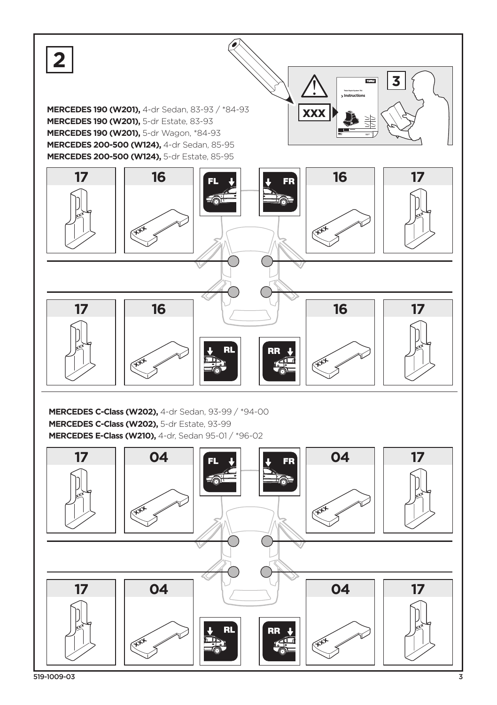

519-1009-03 3